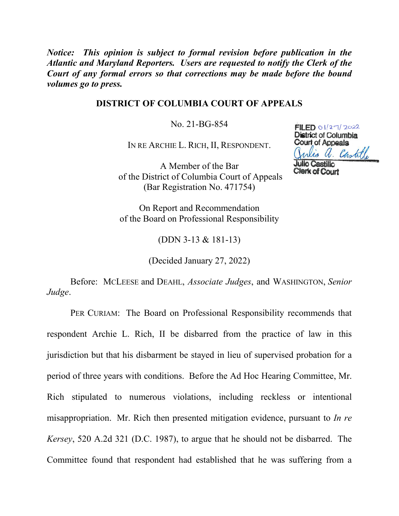*Notice: This opinion is subject to formal revision before publication in the Atlantic and Maryland Reporters. Users are requested to notify the Clerk of the Court of any formal errors so that corrections may be made before the bound volumes go to press.* 

## **DISTRICT OF COLUMBIA COURT OF APPEALS**

No. 21-BG-854

IN RE ARCHIE L. RICH, II, RESPONDENT.

A Member of the Bar of the District of Columbia Court of Appeals (Bar Registration No. 471754)

 $FILED 01/27/2022$ District of Columbia Court of Appeals is a. Castille **Julio Castillo** 

**Clerk of Court** 

On Report and Recommendation of the Board on Professional Responsibility

(DDN 3-13 & 181-13)

(Decided January 27, 2022)

Before: MCLEESE and DEAHL, *Associate Judges*, and WASHINGTON, *Senior Judge*.

PER CURIAM: The Board on Professional Responsibility recommends that respondent Archie L. Rich, II be disbarred from the practice of law in this jurisdiction but that his disbarment be stayed in lieu of supervised probation for a period of three years with conditions. Before the Ad Hoc Hearing Committee, Mr. Rich stipulated to numerous violations, including reckless or intentional misappropriation. Mr. Rich then presented mitigation evidence, pursuant to *In re Kersey*, 520 A.2d 321 (D.C. 1987), to argue that he should not be disbarred. The Committee found that respondent had established that he was suffering from a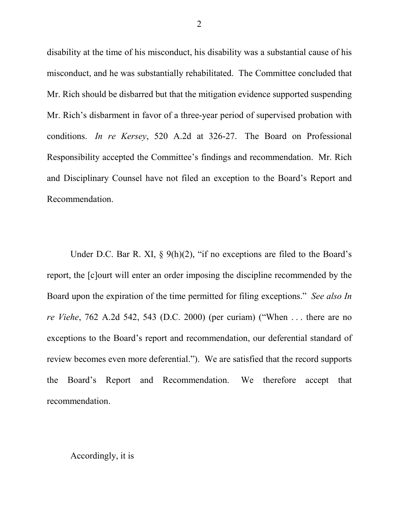disability at the time of his misconduct, his disability was a substantial cause of his misconduct, and he was substantially rehabilitated. The Committee concluded that Mr. Rich should be disbarred but that the mitigation evidence supported suspending Mr. Rich's disbarment in favor of a three-year period of supervised probation with conditions. *In re Kersey*, 520 A.2d at 326-27. The Board on Professional Responsibility accepted the Committee's findings and recommendation. Mr. Rich and Disciplinary Counsel have not filed an exception to the Board's Report and Recommendation.

Under D.C. Bar R. XI,  $\S$  9(h)(2), "if no exceptions are filed to the Board's report, the [c]ourt will enter an order imposing the discipline recommended by the Board upon the expiration of the time permitted for filing exceptions." *See also In re Viehe*, 762 A.2d 542, 543 (D.C. 2000) (per curiam) ("When . . . there are no exceptions to the Board's report and recommendation, our deferential standard of review becomes even more deferential."). We are satisfied that the record supports the Board's Report and Recommendation. We therefore accept that recommendation.

## Accordingly, it is